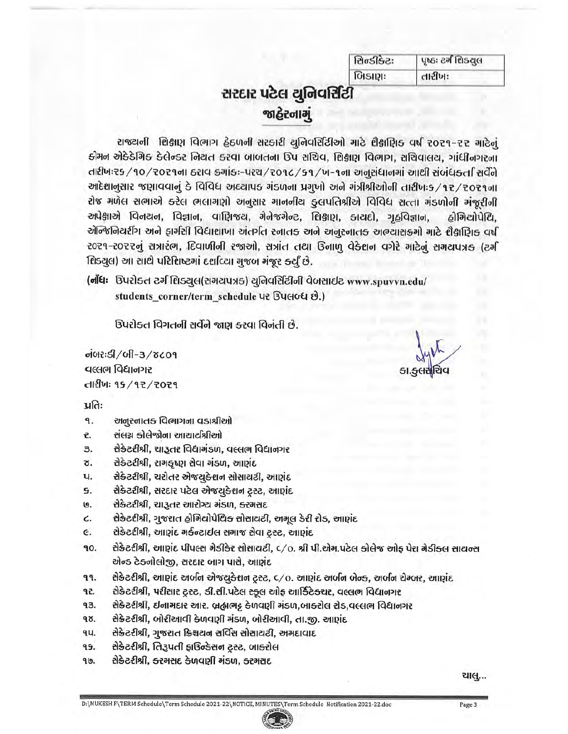| સિન્ડીકેટઃ | પૃષ્ઠઃ ટર્ગ દિાડયુલ |  |  |
|------------|---------------------|--|--|
| બિકાણઃ     | ાારીખઃ              |  |  |

# સરદાર પટેલ યુનિવર્સિટી જાહેરનામું

રાજ્યની શિક્ષણ વિભાગ હેઠળની સરકારી યુનિવર્સિટીઓ માટે શૈક્ષણિક વર્ષ ૨૦૨૧-૨૨ માટેનું કોમન એક્કેમિક કેલેન્ડર નિયત કરવા બાબતના ઉપ સચિવ, શિક્ષણ વિભાગ, સચિવાલય, ગાંધીનગરના તારીખઃ૨૬/૧૦/૨૦૨૧ના ઠરાવ કમાંકઃ-પરચ/૨૦૧૮/૬૧/ખ-૧ના અનુસંધાનમાં આર્થી સંબંધકર્તા સર્વેને આદેશાનુસાર જણાવવાનું કે વિવિધ અઘ્યાપક મંડળના પ્રમુખો અને મંત્રીશ્રીઓની તારીખઃક /૧૨/૨૦૨૧ના रोજ मणेस सलाએ કરેલ लલामણो અનુસાર माननीय ફ્લપતિશ્રીએ વિવિધ સત્તા મંડળોની મંજૂરીની અપેક્ષાએ વિનયન, વિજ્ઞાન, વાણિજય, મેનેજમેન્ટ, શિક્ષણ, કાયદો, ગૃહવિજ્ઞાન, હોમિટ્યોપેથિ. એન્જિનિયરીંગ અને ફાર્મસી વિદ્યાશાખા અંતર્ગત સ્નાતક અને અનુસ્નાતક અભ્યાસક્રમો માટે શૈક્ષાણિક વર્ષ ૨૦૨૧-૨૦૨૨નું સત્રારંભ, દિવાળીની રજાઓ, સત્રાંત તથા ઉનાળ વેકેશન વગેરે માટેનું સમયપત્રક (ટર્મ शिडयूल) આ સાથે પરિશિષ્ટમાં દર્શાવ્યા મુજબ મંજૂર કર્યું છે.

(નોંધ: ઉપરોક્ત ટર્મ શિડ્યુલ(સમયપત્રક) યુનિવર્સિટીની વેબસાઈટ www.spuvvn.edu/ students corner/term schedule U2 BUGIOG &.)

ડિપરોક્ત વિગતની સર્વેને જાણ કરવા વિનંતી છે.

olot2:5/oll-3/8c09 વલ્લભ વિદ્યાનગર dillu: १५/१२/२०२१

કા.<del>ફ્</del>લસશિવ

પ્રતિઃ

- 9. અનુસ્નાતક વિભાગના વડાશ્રીઓ
- ₹. સંલગ્ન કોલેજોના આચાર્યશ્રીઓ
- 3. સેક્રેટરીશ્રી, ચારૂતર વિદ્યામંડળ, વલ્લભ વિદ્યાનગર
- સેક્રેટરીશ્રી, રામકૃષ્ણ સેવા મંડળ, આણંદ Ծ.
- સેક્રેટરીશ્રી, ચરોતર એજયુક્રેશન સોસાયટી, આણંદ ч.
- सेडेटरीश्री, सरदार पटेल એજયુકેશન ટ્રસ્ટ, આણંદ 5.
- સેક્રેટરીશ્રી, ચારૂતર આરોગ્ય મંડળ, કરમસદ ଓ.
- સેક્રેટરીશ્રી, ગુજરાત હોમિયોપેથિક સોસાયટી, અમૂલ ડેરી રોડ, આણંદ C.
- E. सेક्रेटरीश्री, આણંદ मर्કન્ટાઈલ સમાજ સેવા ટ્રસ્ટ, આણંદ
- સેક્રેટરીશ્રી, આણંદ પીપલ્સ મેડીકેર સોસાયટી, c/o. શ્રી પી.એમ.પટેલ કોલેજ ઓફ પેરા મેડીક્લ સાયન્સ 90. એન્ડ ટેક્નોલોજી, સરદાર બાગ પાસે, આણંદ
- 99. સેક્રેટરીશ્રી, આણંદ અર્બન એજયુકેશન ટ્રસ્ટ, c/o. આણંદ અર્બન બેન્ક, અર્બન ચેમ્બર, આણંદ
- 92. સેક્રેટરીશ્રી, પરીસાર ટ્રસ્ટ, ડી.સી.પટેલ સ્કૂલ ઓફ આર્કિટેક્ચર, વલ્લભ વિદ્યાનગર
- સેક્રેટરીશ્રી, ઇનામદાર આર. બ્રહ્મભટ્ટ કેળવણી મંડળ,બાક્ર્ટોલ રોડ,વલ્લભ વિદ્યાનગર 93.
- સેક્રેટરીશ્રી, બોરીઆવી કેળવણી મંડળ, બોરીઆવી, તા.જી. આણંદ 98.
- ٩ч. સેક્રેટરીશ્રી, ગુજરાત ક્રિશ્ચયન સર્વિસ સોસાયટી, અમદાવાદ
- 95. સેક્રેટરીશ્રી, તિરૂપતી ફાઉન્ડેસન ટ્રસ્ટ, બાક્ર્ટોલ
- સેક્રેટરીશ્રી, ક્રરમસદ કેળવણી મંડળ, ક્રરમસદ 90.

ચાલુ…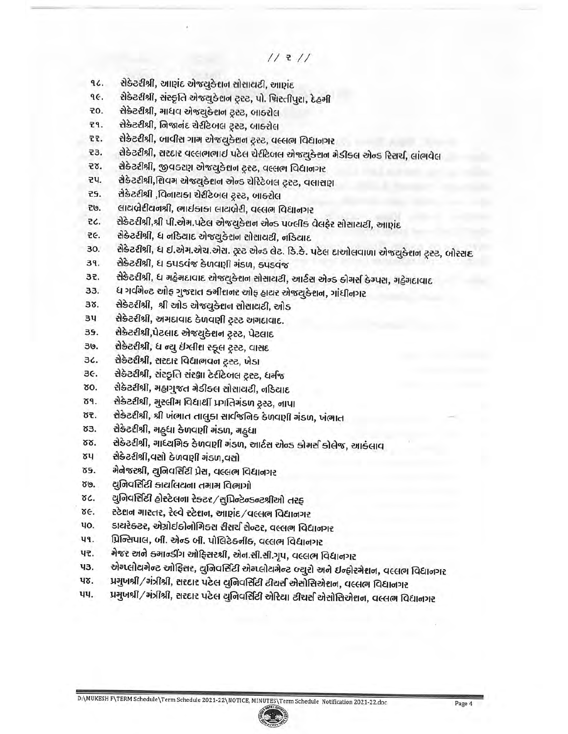- સેકેટરીશ્રી, આણંદ એજયુકેશન સોસાયટી, આણંદ 96.
- सेडेटरीश्री, संस्कृति से ल्युडेशन ट्रस्ट, पो. फिस्तीपुरा, देहुनी qe.
- **20.** સેક્રેટરીશ્રી, માધવ એજયુક્રેશન ટ્રસ્ટ, બાક્ર્રોલ
- 권, સેક્રેટરીશ્રી, નિજાનંદ ચેરીટેબલ ટ્રસ્ટ, બાક્ટોલ
- સેક્રેટરીશ્રી, બાવીસ ગામ એજયુક્રેશન ટ્રસ્ટ, વલ્લભ વિદ્યાનગર 군군.
- સેક્રેટરીશ્રી, સરદાર વલ્લભભાઈ પટેલ ચેરીટેબલ એજયુકેશન મેડીક્લ એન્ડ રિસર્ચ, લાંભવેલ 53.
- સેકેટરીશ્રી, જીવકરણ એજયુકેશન ટ્રસ્ટ, વલ્લભ વિદ્યાનગર 군8.
- સેકેટરીશ્રી,શિવમ એજટ્યુકેશન એન્ડ ચેરિટેબલ ટ્રસ્ટ, વલાસણ 코닉.
- સેક્રેટરીશ્રી ,વિનાયકા ચેરીટેબલ ટ્રસ્ટ, બાક્રોલ 군도.
- લાયબ્રેરીયનશ્રી, ભાઈકાકા લાયબ્રેરી, વલ્લભ વિદ્યાનગર 권.
- સેક્રેટરીશ્રી,શ્રી પી.એમ.પટેલ એજયુકેશન એન્ડ પબ્લીક વેલફેર સોસાયટી, આણંદ そく.
- સેક્રેટરીશ્રી, ધ નડિયાદ એજયુકેશન સોસાયટી, નડિયાદ ZE.
- સેકેટરીશ્રી, ધ ઈ.એમ.એચ.એસ. ટ્રસ્ટ એન્ડ લેટ. ડિ.કે. પટેલ દાઓલવાળા એજયુકેશન ટ્રસ્ટ, બોરસદ 30.
- સેકેટરીશ્રી, ધ ક્પડવંજ કેળવણી મંડળ, ક્પડવંજ 39.
- સેક્રેટરીશ્રી, ધ મહેમદાવાદ એજયુક્તાન સોસાયટી, આર્ટસ એન્ડ કોમર્સ કેમ્પસ, મહેમદાવાદ 32.
- ધ ગર્વમેન્ટ ઓફ ગુજરાત ક્રમીશનર ઓફ હાયર એજયુક્રેશન, ગાંધીનગર 33.
- સેકેટરીશ્રી, શ્રી ઓડ એજ્યુ<del>ડે</del>દાન સોસાયટી, ઓડ Зδ.
- $34$ સેક્રેટરીશ્રી, અમદાવાદ કેળવણી ટ્રસ્ટ અમદાવાદ.
- सेकेटरीश्री, पेटलाह એજટ્યુ<del>ડે</del>શન ટ્રસ્ટ, પેટલાદ 39.
- 30. સેક્રેટરીશ્રી, ધ ન્યૂ ઇંગ્લીશ સ્કૂલ ટ્રસ્ટ, વાસદ
- સેકેટરીશ્રી, સરદાર વિદ્યાભવન ટ્રસ્ટ, ખેડા 36.
- सेडेटरीश्री, संस्झति संरक्षा टेरीटेजस ट्रस्ट, धर्मજ ЗE.
- 80. સેકેટરીશ્રી, મહાગુજત મેડીક્લ સોસાયટી, નડિયાદ
- સેકેટરીશ્રી, મુસ્લીમ વિદ્યાર્થી પ્રગતિમંડળ ટ્રસ્ટ, નાપા 89.
- સેક્રેટરીશ્રી, શ્રી ખંભાત તાલુકા સાર્વજનિક કેળવણી મંડળ, ખંભાત 85.
- 83. સેક્રેટરીશ્રી, મહ્ધા કેળવણી મંડળ, મહ્ધા
- સેક્રેટરીશ્રી, માધ્યમિક કેળવણી મંડળ, આર્ટસ એન્ડ કોમર્સ કોલેજ, આકંલાવ 88.
- સેક્રેટરીશ્રી,વસો કેળવણી મંડળ,વસો δЧ
- મેનેજરશ્રી, યુનિવર્સિટી પ્રેસ, વલ્લભ વિદ્યાનગર 89.
- યુનિવર્સિટી કાર્યાલયના તમામ વિભાગો 80.
- યુનિવર્સિટી હોસ્ટેલના રેક્ટર/સુપ્રિન્ટેન્ડન્ટશ્રીઓ તરફ ðC.
- સ્ટેશન માસ્તર, રેલ્વે સ્ટેશન, આણંદ∕વલ્લભ વિદ્યાનગર δE.
- ડાયરેક્ટર, એગ્રોઈકોનોમિક્સ રીસર્ચ સેન્ટર, વલ્લભ વિદ્યાનગર чo.
- प्रिन्सिपाલ, બી. એન્ડ બી. પોલિટેકનીક, વલ્લભ વિદ્યાનગર Чq.
- મેજર અને ક્માન્ડીંગ ઓફિસરશ્રી, એન.સી.સી.ગૃપ, વલ્લભ વિદ્યાનગર 42.
- એમ્પ્લોયમેન્ટ ઓફિસર, યુનિવર્સિટી એમ્પ્લોયમેન્ટ બ્યુરો અને ઈન્ફોરમેશન, વલ્લભ વિદ્યાનગર чз.
- પ્રમુખશ્રી∕મંત્રીશ્રી, સરદાર પટેલ યુનિવર્સિટી ટીચર્સ એસોસિએશન, વલ્લભ વિદ્યાનગર ЧԾ.
- પ્રમુખશ્રી∕મંત્રીશ્રી, સરદાર પટેલ યુનિવર્સિટી એરિયા ટીચર્સ એસોસિએશન, વલ્લભ વિદ્યાનગર чч.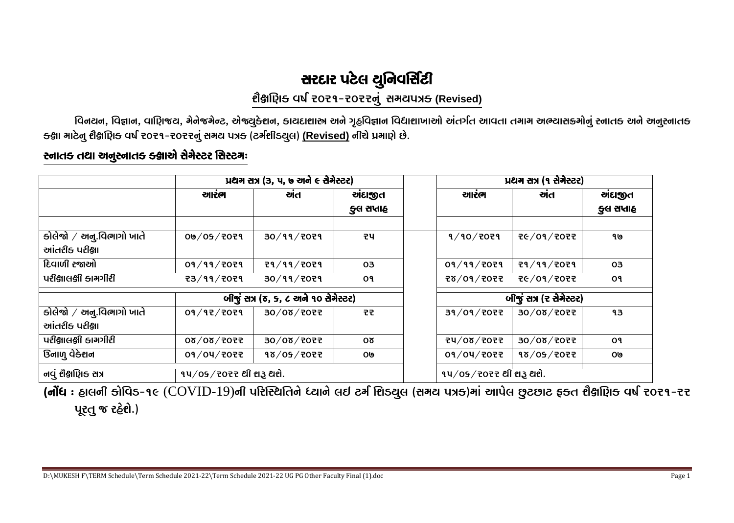# સરદાર પટેલ યુનિવર્સિટી

### ยิ๊ริเโยฺิเธ นฟ์ zozๆ-zozzตุ่ สหนนมธ (Revised)

વિનયન, વિજ્ઞાન, વાણિજય, મેનેજમેન્ટ, એજ્યુક્ેશન, કાયદાશાસ્ત્ર અને ગૃહવિજ્ઞાન વિદ્યાશાખાઓ અંતર્ગત આવતા તમામ અભ્યાસક્રમોનું સ્નાતક અને અનુસ્નાતક ક્ક્ષા માટેનૂ શૈક્ષણિક્ વર્ષ ૨૦૨૧-૨૦૨૨નું સમય પત્રક (ટર્મશીડયૂલ) (Revised) નીચે પ્રમાણે છે.

### સ્નાતક તથા અનુસ્નાતક ક્ક્ષાએ સેમેસ્ટર સિસ્ટમઃ

|                          | <u>ਪ਼ਟੀਸ ਜ਼ੋਮ (3, ਪ, ७ ਦੀ ਵਾਲੇ ਦੇ ਜੇਸੇਦਟਦ)</u> |                   |                       | <u>ਪ਼ਟੀ ਦੀ ਪ੍ਰਤੀਵੇਟਰ ਸ</u> |                          |                |
|--------------------------|------------------------------------------------|-------------------|-----------------------|----------------------------|--------------------------|----------------|
|                          | આરંભ                                           | খান               | ગંદાજીત               | આરંભ                       | ਅੇਰ                      | <u>ચંદાજીત</u> |
|                          |                                                |                   | ફ્લ સપ્તાહ            |                            |                          | કુલ સપ્તાહ     |
|                          |                                                |                   |                       |                            |                          |                |
| डोલेજો / અનુ.વિભાગો ખાતે | 00/05/7079                                     | 30/99/2029        | 코                     | 9/90/7079                  | 26/09/2025               | 9७             |
| આંતરીક પરીક્ષા           |                                                |                   |                       |                            |                          |                |
| દિવાળી રજાઓ              | 09/99/7079                                     | <b>29/99/2029</b> | 03                    | 09/99/7079                 | <b>29/99/2029</b>        | 03             |
| ਪਦੀ§ਗલ§ੀ કામગીરી         | <b>73/99/7079</b>                              | 30/99/2029        | <b>O</b> <sup>9</sup> | F505\09/dS                 | <b>76/09/7077</b>        | O9             |
|                          | <u> બીજું સત્ર (૪, ૬, ૮ અને ૧૦ સેમેસ્ટર)</u>   |                   |                       |                            | બીજું સત્ર (ર સેમેસ્ટર)  |                |
| કોલેજો / અનુ.વિભાગો ખાતે | 09/97/7079                                     | 30/08/7077        | 군군                    | 39/09/7077                 | 30/08/7077               | 93             |
| આંતરીક પરીક્ષા           |                                                |                   |                       |                            |                          |                |
| પરીક્ષાલક્ષી કામગીરી     | 5505\80\80                                     | 30/08/7077        | Oδ                    | 74/08/7077                 | 30/08/7057               | O9             |
| ઉનાળુ વેક્શન             | 09/04/2022                                     | 98/05/7077        | 0७                    | 09/04/2022                 | $\frac{1}{98}/05$ / 2022 | 0७             |
| નવું શૈક્ષણિક સત્ર       | $94/05/7077$ थी ११३ थरो.                       |                   |                       | ૧૫/05/૨૦૨૨ થી શરૂ થશે.     |                          |                |

(નોંધ : હાલની કોવિડ-૧૯ (COVID-19)ની પરિસ્થિતિને ધ્યાને લઈ ટર્ગ શિડ્યુલ (સમય પત્રક)માં આપેલ છુટછાટ ફક્ત શૈક્ષણિક વર્ષ ૨૦૨૧-૨૨ પૂરતુ જ રહેશે.)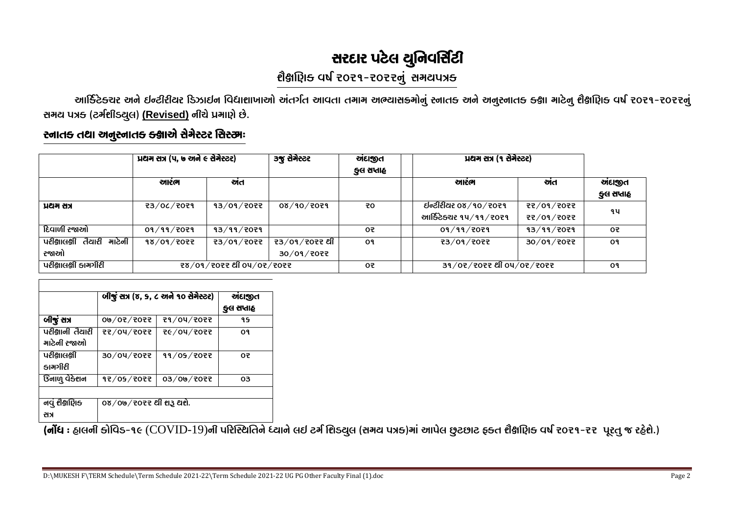# સરદાર પટેલ યુનિવર્સિટી

# ยิยเบิเธ นป์ २०२१-२०२२नुं समयपत्र

આર્કિટેક્ચર અને ઈન્ટીરીયર ડિઝાઈન વિદ્યાશાખાઓ અંતર્ગત આવતા તમામ અભ્યાસક્રમોનું સ્નાતક અને અનુસ્નાતક ક્ક્ષા માટેનુ શૈક્ષણિક વર્ષ ૨૦૨૧-૨૦૨૨નું સમય પત્રક (ટર્મશીડયુલ) (Revised) નીચે પ્રમાણે છે.

### સ્નાતક તથા અનુસ્નાતક ક્ક્ષાએ સેમેસ્ટર સિસ્ટમઃ

|                                     | પ્રથમ સત્ર (૫, ७ અને ૯ સેમેસ્ટર) |                          | <u>૩જુ સેમેસ્ટર</u>         | ચાંદાજીત<br>કુલ સપ્તાહ | <u> ਪਹਿਲ (੧ ਚੇਰੇਦਟਦ)</u>                              |                          |                        |
|-------------------------------------|----------------------------------|--------------------------|-----------------------------|------------------------|-------------------------------------------------------|--------------------------|------------------------|
|                                     | આરભ                              | ਗਰ                       |                             |                        | આરભ                                                   | ਗਰ                       | ચાંદાજીત<br>કુલ સપ્તાહ |
| પ્રથમ સત્ર                          | 23/06/2029                       | 93/09/7057               | 08/90/7079                  | 90                     | <b>ઈન્ટીરીયર ૦૪∕૧૦∕૨૦૨૧</b><br>આર્કિટેક્ચર ૧૫∕૧૧∕૨૦૨૧ | ₹₹∕0¶∕₹0₹₹<br>77/09/7077 | ។។                     |
| દિવાળી રજાઓ                         | 09/99/7079                       | <b>93/99/7029</b>        |                             | 0₹                     | 09/99/7079                                            | 93/99/7079               | O₹                     |
| માટેની<br>પરીક્ષાલકી તૈયારી<br>રજાઓ | 98/09/707                        | そ3/01/そ0そそ               | ₹3/09/₹0₹₹ થી<br>30/01/7077 | O٩                     | そ3/01/そ0そそ                                            | 30/09/207                | O9                     |
| પરીક્ષાલક્ષી કામગીરી                |                                  | ₹ŏ/0٩/₹0₹₹ थी 04/0₹/₹0₹₹ |                             | 0₹                     | 39/07/2027 थी 04/07/2027                              |                          | O۹                     |

|                                    | બીજું સત્ર (૪, ૬, ૮ અને ૧૦ સેમેસ્ટર) | <b>ઑદાજીત</b><br>ફ્લ સપ્તાહ |     |
|------------------------------------|--------------------------------------|-----------------------------|-----|
| બીજું સત્ર                         | 0७/0२/२०२२                           | 79/04/7077                  | ۹ Գ |
| પરીક્ષાની તૈયારી<br>માટેની રજાઓ    | 2505\DO\55                           | <b>そ</b> 6/04/2022          | O٩  |
| પરીક્ષાલકી<br>કામગીરી              | 30/04/7077                           | 99/05/7077                  | 05  |
| <b>डिना</b> णु ये <del>डे</del> शन | 97/05/7077                           | 03/09/2022                  | OЗ  |
| નવું શૈક્ષણિક<br>레게                | 08/0७/૨૦૨૨ થી શરૂ થશે.               |                             |     |

(નોંધ : હાલની કોવિડ-૧૯ (COVID-19)ની પરિસ્થિતિને ધ્યાને લઈ ટર્ગ શિડ્યુલ (સમય પત્રક)માં આપેલ છુટછાટ ફ્ક્ત શૈક્ષણિક વર્ષ ૨૦૨૧-૨૨ પૂરતુ જ રહેશે.)

D:\MUKESH F\TERM Schedule\Term Schedule 2021-22\Term Schedule 2021-22 UG PG Other Faculty Final (1).doc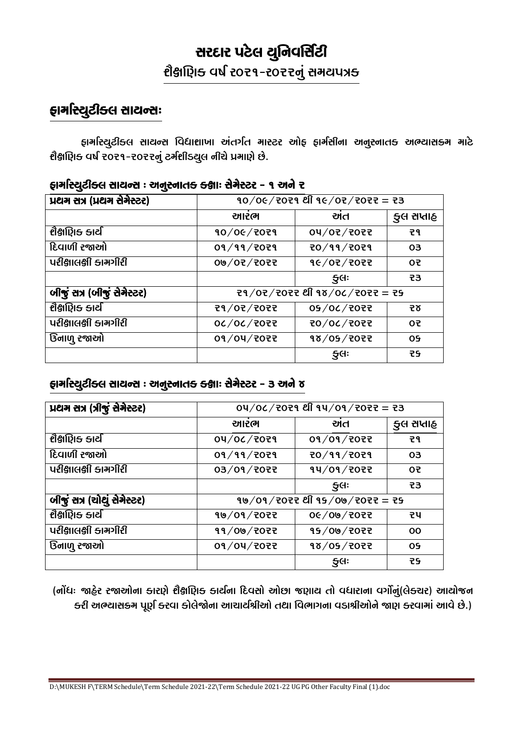# સરદાર પટેલ યુનિવર્સિટી ยิยเมิร ตป์ 2021-2025ตุ่ สหนนาร

# ફામસ્યિટીક્લ સાયન્સः

ફાર્માસ્યુટીકલ સાયન્સ વિદ્યાશાખા અંતર્ગત માસ્ટર ઓફ ફાર્મસીના અનુસ્નાતક અભ્યાસક્રમ માટે શૈક્ષાણિક્ વર્ષ ૨૦૨૧-૨૦૨૨નું ટર્મશીડ્યુલ નીચે પ્રમાણે છે.

| -                           |                                                      |                    |            |  |  |
|-----------------------------|------------------------------------------------------|--------------------|------------|--|--|
| ਪਖਿਆ ਦੀ ਮਾਰੀ ਵਿੱਚ ਹੋਏ।      | $90/06/7079$ en $96/07/7077 = 73$                    |                    |            |  |  |
|                             | આરભ                                                  | ਅਰ                 | કુલ સપ્તાહ |  |  |
| શૈક્ષણિક કાર્ય              | 90/06/7079                                           | 04/07/7077         | そり         |  |  |
| દિવાળી રજાઓ                 | 09/99/7079                                           | 70/99/7079         | 03         |  |  |
| પરીક્ષાલક્ષી કામગીરી        | 00/07/7077                                           | 96/07/7077         | O5         |  |  |
|                             |                                                      | $\mathfrak{H}$     | 53         |  |  |
| जीकुं सत्र (जीकुं सेमेस्टर) | $29/02/2022$ estacated and the stack set of $29/120$ |                    |            |  |  |
| શૈક્ષણિક કાર્ય              | F505\50\F5                                           | 05/06/7057         | そで         |  |  |
| પરીક્ષાલક્ષી કામગીરી        | 00/00/20                                             | F505\20\C          | 0F         |  |  |
| ઉનાળુ રજાઓ                  | 09/04/207                                            | 98/05/7077         | 09         |  |  |
|                             |                                                      | $\mathfrak{Z}$ GI: | 29         |  |  |

### ફામસ્યિટીક્લ સાયન્સ : અનુસ્નાતક ક્ક્ષાઃ સેમેસ્ટર - ૧ અને ૨

### ફાર્માસ્યુટીક્લ સાયન્સ : અનુસ્નાતક ક્ક્ષાઃ સેમેસ્ટર - 3 અને ૪

| प्रथम तत्र (त्रीशुं तेमेत्टर) | 04/06/7029 थी 94/09/7022 = 23      |                |            |  |
|-------------------------------|------------------------------------|----------------|------------|--|
|                               | આરભ                                | ਦੀਰ            | કુલ સપ્તાહ |  |
| શૈક્ષણિક કાર્ય                | O4/OC/7O79                         | 09/09/707      | 군٩         |  |
| દિવાળી રજાઓ                   | 09/99/2029                         | 20/99/2029     | 03         |  |
| પરીક્ષાલક્ષી કામગીરી          | 03/09/7077                         | 94/09/7077     | 05         |  |
|                               |                                    | 5 <sup>d</sup> | 53         |  |
| બીજું સત્ર (ચોથું સેમેસ્ટર)   | $99/09/7077$ end $99/00/7077 = 75$ |                |            |  |
| શૈક્ષણિક કાર્ય                | 90/09/7077                         | 06/09/2022     | 코니         |  |
| પરીક્ષાલક્ષી કામગીરી          | 99/00/707                          | 15/09/2022     | <b>OO</b>  |  |
| ઉનાળુ રજાઓ                    | 09/04/7077                         | 18/05/7077     | <b>OS</b>  |  |
|                               |                                    | 5 <sup>d</sup> | 군도         |  |

(નોંધ: જાહેર રજાઓના કારણે શૈક્ષણિક કાર્યના દિવસો ઓછા જણાય તો વધારાના વર્ગોનું(લેક્ચર) આયોજન ક્રી અભ્યાસક્રમ પૂર્ણ કરવા કોલેજોના આચાર્યશ્રીઓ તથા વિભાગના વડાશ્રીઓને જાણ કરવામાં આવે છે.)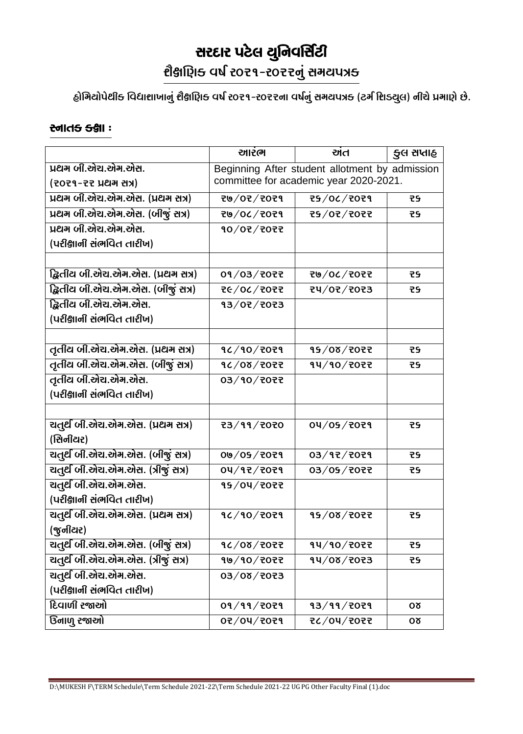# સરદાર પટેલ યુનિવર્સિટી

ขิษตนิยะ 40 fost - sostal definive

હોમિટોપેથીક વિદ્યાશાખાનું શૈક્ષાણિક વર્ષ ૨૦૨૧-૨૦૨૨ના વર્ષનું સમયપત્રક (ટર્મ શિડ્યુલ) નીચે પ્રમાણે છે.

#### <u> સ્</u>નાવ<del>ડ</del> ક્ક્ષા :

|                                    | આરંભ                                           | ਅਰ                | કુલ સપ્તાહ |  |  |
|------------------------------------|------------------------------------------------|-------------------|------------|--|--|
| પ્રથમ બી.એચ.એમ.એસ.                 | Beginning After student allotment by admission |                   |            |  |  |
| (2029-22 ) 25-1                    | committee for academic year 2020-2021.         |                   |            |  |  |
| प्रथम जी.એચ.એम.એસ. (प्रथम सत्र)    | 207/07/7029                                    | 25/06/2029        | 군도         |  |  |
| प्रथम जी.એચ.એम.એસ. (जीજुં सत्र)    | 20/06/7059                                     | F505\50\e5        | 55         |  |  |
| પ્રથમ બી.એચ.એમ.એસ.                 | 90/07/7077                                     |                   |            |  |  |
| (પરીક્ષાની સંભવિત તારીખ)           |                                                |                   |            |  |  |
|                                    |                                                |                   |            |  |  |
| દ્વિતીય બી.એચ.એમ.એસ. (પ્રથમ સત્ર)  | 09/03/2072                                     | <b>そし/0८/2022</b> | 군도         |  |  |
| દ્વિતીય બી.એચ.એમ.એસ. (બીજું સત્ર)  | 26/06/2055                                     | t4/07/7073        | 55         |  |  |
| દ્વિતીય બી.એચ.એમ.એસ.               | 93/07/7073                                     |                   |            |  |  |
| (પરીક્ષાની સંભવિત તારીખ)           |                                                |                   |            |  |  |
|                                    |                                                |                   |            |  |  |
| તૃતીય બી.એચ.એમ.એસ. (પ્રથમ સત્ર)    | 90/90/7079                                     | 95/08/7077        | 군도         |  |  |
| તૃતીય બી.એચ.એમ.એસ. (બીજું સત્ર)    | 907/00                                         | 94/90/2022        | 군도         |  |  |
| तृतीय जी.એચ.એम.એસ.                 | 03/90/7077                                     |                   |            |  |  |
| (પરીક્ષાની સંભવિત તારીખ)           |                                                |                   |            |  |  |
|                                    |                                                |                   |            |  |  |
| ચતુર્થ બી.એચ.એમ.એસ. (પ્રથમ સત્ર)   | <b>73/99/7070</b>                              | 04/05/7079        | 55         |  |  |
| (सिनीयर)                           |                                                |                   |            |  |  |
| ચતુર્થ બી.એચ.એમ.એસ. (બીજું સત્ર)   | 09/05/7079                                     | 03/97/7079        | 55         |  |  |
| चतुर्थ जी.એच.એम.એસ. (त्रीજुં सत्र) | 04/92/2029                                     | 03/05/7077        | 55         |  |  |
| ચતુર્થ બી.એચ.એમ.એસ.                | 15/04/2022                                     |                   |            |  |  |
| (પરીક્ષાની સંભવિત તારીખ)           |                                                |                   |            |  |  |
| ચતુર્થ બી.એચ.એમ.એસ. (પ્રથમ સત્ર)   | 90/90/7079                                     | 95/08/7077        | 55         |  |  |
| (જુનીયર)                           |                                                |                   |            |  |  |
| ચતૂર્થ બી.એચ.એમ.એસ. (બીજું સત્ર)   | 9८/08/२०२२                                     | 94/90/7077        | 55         |  |  |
| चतुर्थ जी.એચ.એम.એસ. (त्रीજुં सत्र) | 10/10/2022                                     | 14/08/7073        | 군도         |  |  |
| ચતુર્થ બી.એચ.એમ.એસ.                | 6505 \ 80 \ 60                                 |                   |            |  |  |
| (પરીક્ષાની સંભવિત તારીખ)           |                                                |                   |            |  |  |
| <u> દિવાળી રજાઓ</u>                | 09/99/7079                                     | 93/99/7079        | Oδ         |  |  |
| <u> ઉનાળુ રજાઓ</u>                 | 07/04/7079                                     | <b>そと/04/2022</b> | Oδ         |  |  |

D:\MUKESH F\TERM Schedule\Term Schedule 2021-22\Term Schedule 2021-22 UG PG Other Faculty Final (1).doc